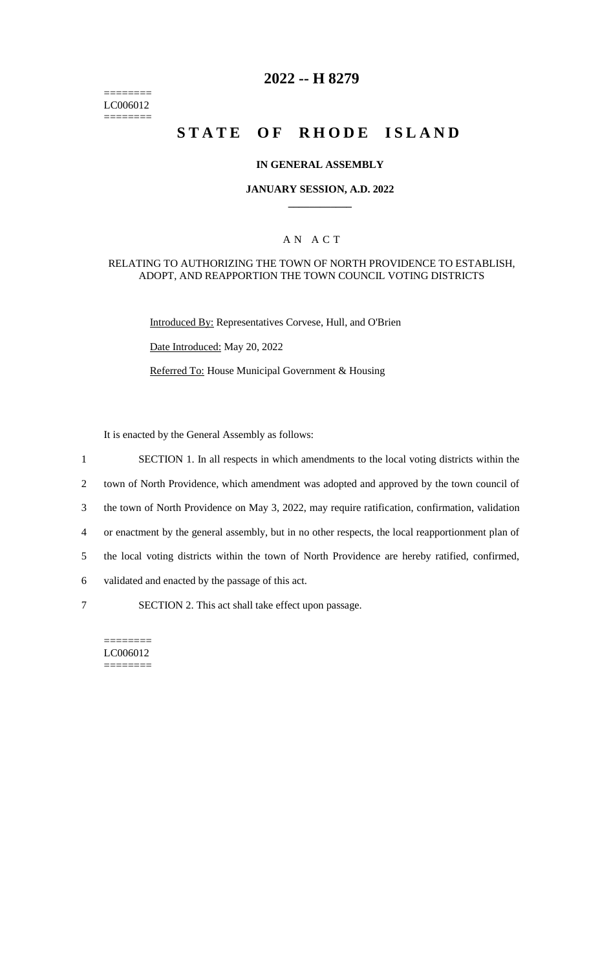======== LC006012 ========

# **2022 -- H 8279**

# **STATE OF RHODE ISLAND**

#### **IN GENERAL ASSEMBLY**

#### **JANUARY SESSION, A.D. 2022 \_\_\_\_\_\_\_\_\_\_\_\_**

## A N A C T

#### RELATING TO AUTHORIZING THE TOWN OF NORTH PROVIDENCE TO ESTABLISH, ADOPT, AND REAPPORTION THE TOWN COUNCIL VOTING DISTRICTS

Introduced By: Representatives Corvese, Hull, and O'Brien

Date Introduced: May 20, 2022

Referred To: House Municipal Government & Housing

It is enacted by the General Assembly as follows:

- 1 SECTION 1. In all respects in which amendments to the local voting districts within the
- 2 town of North Providence, which amendment was adopted and approved by the town council of
- 3 the town of North Providence on May 3, 2022, may require ratification, confirmation, validation
- 4 or enactment by the general assembly, but in no other respects, the local reapportionment plan of
- 5 the local voting districts within the town of North Providence are hereby ratified, confirmed,
- 6 validated and enacted by the passage of this act.
- 

7 SECTION 2. This act shall take effect upon passage.

======== LC006012 ========